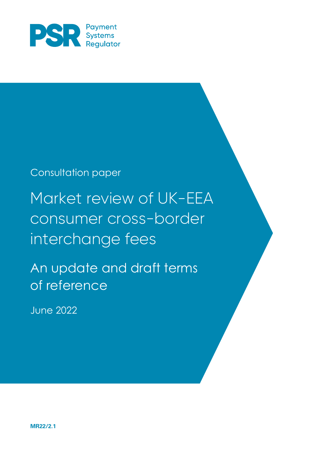

## Consultation paper

# Market review of UK-EEA consumer cross-border interchange fees

An update and draft terms of reference

June 2022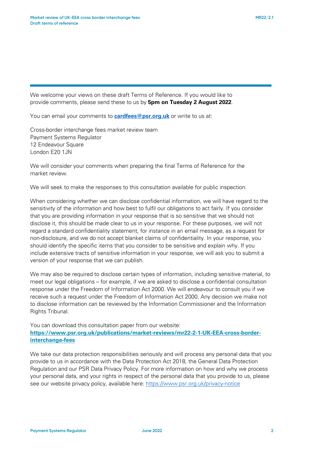We welcome your views on these draft Terms of Reference. If you would like to provide comments, please send these to us by **5pm on Tuesday 2 August 2022**.

You can email your comments to <mark>[cardfees@psr.org.uk](mailto:cardfees@psr.org.uk)</mark> or write to us at:

Cross-border interchange fees market review team Payment Systems Regulator 12 Endeavour Square London E20 1JN

We will consider your comments when preparing the final Terms of Reference for the market review.

We will seek to make the responses to this consultation available for public inspection.

When considering whether we can disclose confidential information, we will have regard to the sensitivity of the information and how best to fulfil our obligations to act fairly. If you consider that you are providing information in your response that is so sensitive that we should not disclose it, this should be made clear to us in your response. For these purposes, we will not regard a standard confidentiality statement, for instance in an email message, as a request for non-disclosure, and we do not accept blanket claims of confidentiality. In your response, you should identify the specific items that you consider to be sensitive and explain why. If you include extensive tracts of sensitive information in your response, we will ask you to submit a version of your response that we can publish.

We may also be required to disclose certain types of information, including sensitive material, to meet our legal obligations – for example, if we are asked to disclose a confidential consultation response under the Freedom of Information Act 2000. We will endeavour to consult you if we receive such a request under the Freedom of Information Act 2000. Any decision we make not to disclose information can be reviewed by the Information Commissioner and the Information Rights Tribunal.

You can download this consultation paper from our website: **[https://www.psr.org.uk/publications/market-reviews/mr22-2-1-UK-EEA-cross-border](https://www.psr.org.uk/publications/market-reviews/mr22-2-1-UK-EEA-cross-border-interchange-fees)[interchange-fees](https://www.psr.org.uk/publications/market-reviews/mr22-2-1-UK-EEA-cross-border-interchange-fees)**

We take our data protection responsibilities seriously and will process any personal data that you provide to us in accordance with the Data Protection Act 2018, the General Data Protection Regulation and our PSR Data Privacy Policy. For more information on how and why we process your personal data, and your rights in respect of the personal data that you provide to us, please see our website privacy policy, available here:<https://www.psr.org.uk/privacy-notice>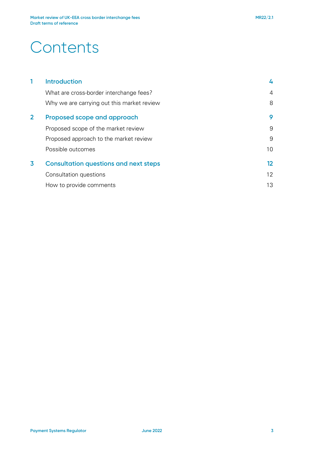## **Contents**

|                         | <b>Introduction</b>                          | 4  |
|-------------------------|----------------------------------------------|----|
|                         | What are cross-border interchange fees?      | 4  |
|                         | Why we are carrying out this market review   | 8  |
| $\overline{2}$          | Proposed scope and approach                  | 9  |
|                         | Proposed scope of the market review          | 9  |
|                         | Proposed approach to the market review       | 9  |
|                         | Possible outcomes                            | 10 |
| $\overline{\mathbf{3}}$ | <b>Consultation questions and next steps</b> | 12 |
|                         | Consultation questions                       | 12 |
|                         | How to provide comments                      | 13 |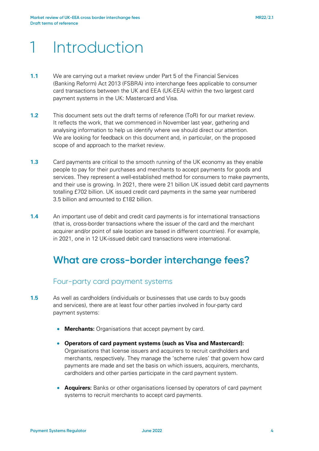## 1 Introduction

- **1.1** We are carrying out a market review under Part 5 of the Financial Services (Banking Reform) Act 2013 (FSBRA) into interchange fees applicable to consumer card transactions between the UK and EEA (UK-EEA) within the two largest card payment systems in the UK: Mastercard and Visa.
- **1.2** This document sets out the draft terms of reference (ToR) for our market review. It reflects the work, that we commenced in November last year, gathering and analysing information to help us identify where we should direct our attention. We are looking for feedback on this document and, in particular, on the proposed scope of and approach to the market review.
- **1.3** Card payments are critical to the smooth running of the UK economy as they enable people to pay for their purchases and merchants to accept payments for goods and services. They represent a well-established method for consumers to make payments, and their use is growing. In 2021, there were 21 billion UK issued debit card payments totalling £702 billion. UK issued credit card payments in the same year numbered 3.5 billion and amounted to £182 billion.
- **1.4** An important use of debit and credit card payments is for international transactions (that is, cross-border transactions where the issuer of the card and the merchant acquirer and/or point of sale location are based in different countries). For example, in 2021, one in 12 UK-issued debit card transactions were international.

## **What are cross-border interchange fees?**

#### Four-party card payment systems

- **1.5** As well as cardholders (individuals or businesses that use cards to buy goods and services), there are at least four other parties involved in four-party card payment systems:
	- **Merchants:** Organisations that accept payment by card.
	- **Operators of card payment systems (such as Visa and Mastercard):** Organisations that license issuers and acquirers to recruit cardholders and merchants, respectively. They manage the 'scheme rules' that govern how card payments are made and set the basis on which issuers, acquirers, merchants, cardholders and other parties participate in the card payment system.
	- **Acquirers:** Banks or other organisations licensed by operators of card payment systems to recruit merchants to accept card payments.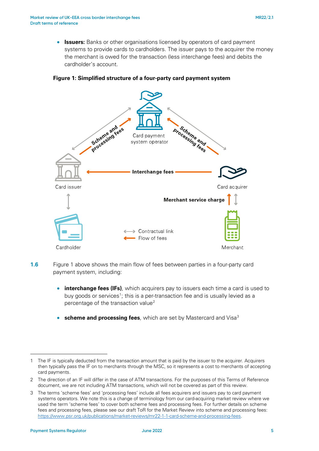• **Issuers:** Banks or other organisations licensed by operators of card payment systems to provide cards to cardholders. The issuer pays to the acquirer the money the merchant is owed for the transaction (less interchange fees) and debits the cardholder's account.





- **1.6** Figure 1 above shows the main flow of fees between parties in a four-party card payment system, including:
	- **interchange fees (IFs)**, which acquirers pay to issuers each time a card is used to buy goods or services<sup>[1](#page-4-0)</sup>; this is a per-transaction fee and is usually levied as a percentage of the transaction value<sup>[2](#page-4-1)</sup>
	- **scheme and processing fees**, which are set by Mastercard and Visa<sup>3</sup>

<span id="page-4-0"></span><sup>1</sup> The IF is typically deducted from the transaction amount that is paid by the issuer to the acquirer. Acquirers then typically pass the IF on to merchants through the MSC, so it represents a cost to merchants of accepting card payments.

<span id="page-4-1"></span><sup>2</sup> The direction of an IF will differ in the case of ATM transactions. For the purposes of this Terms of Reference document, we are not including ATM transactions, which will not be covered as part of this review.

<span id="page-4-2"></span><sup>3</sup> The terms 'scheme fees' and 'processing fees' include all fees acquirers and issuers pay to card payment systems operators. We note this is a change of terminology from our card-acquiring market review where we used the term 'scheme fees' to cover both scheme fees and processing fees. For further details on scheme fees and processing fees, please see our draft ToR for the Market Review into scheme and processing fees: [https://www.psr.org.uk/publications/market-reviews/mr22-1-1-card-scheme-and-processing-fees.](https://www.psr.org.uk/publications/market-reviews/mr22-1-1-card-scheme-and-processing-fees)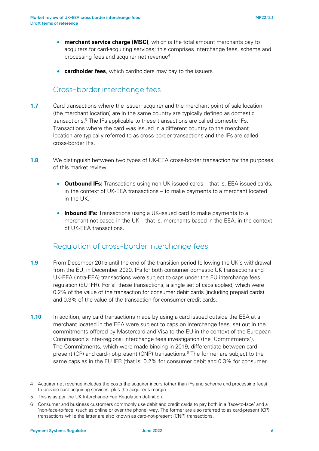- **merchant service charge (MSC)**, which is the total amount merchants pay to acquirers for card-acquiring services; this comprises interchange fees, scheme and processing fees and acquirer net revenue $4$
- **cardholder fees**, which cardholders may pay to the issuers

#### Cross-border interchange fees

- **1.7** Card transactions where the issuer, acquirer and the merchant point of sale location (the merchant location) are in the same country are typically defined as domestic transactions.<sup>[5](#page-5-1)</sup> The IFs applicable to these transactions are called domestic IFs. Transactions where the card was issued in a different country to the merchant location are typically referred to as cross-border transactions and the IFs are called cross-border IFs.
- **1.8** We distinguish between two types of UK-EEA cross-border transaction for the purposes of this market review:
	- **Outbound IFs:** Transactions using non-UK issued cards that is, EEA-issued cards, in the context of UK-EEA transactions – to make payments to a merchant located in the UK.
	- **Inbound IFs:** Transactions using a UK-issued card to make payments to a merchant not based in the UK – that is, merchants based in the EEA, in the context of UK-EEA transactions.

#### Regulation of cross-border interchange fees

- **1.9** From December 2015 until the end of the transition period following the UK's withdrawal from the EU, in December 2020, IFs for both consumer domestic UK transactions and UK-EEA (intra-EEA) transactions were subject to caps under the EU interchange fees regulation (EU IFR). For all these transactions, a single set of caps applied, which were 0.2% of the value of the transaction for consumer debit cards (including prepaid cards) and 0.3% of the value of the transaction for consumer credit cards.
- **1.10** In addition, any card transactions made by using a card issued outside the EEA at a merchant located in the EEA were subject to caps on interchange fees, set out in the commitments offered by Mastercard and Visa to the EU in the context of the European Commission's inter-regional interchange fees investigation (the 'Commitments'). The Commitments, which were made binding in 2019, differentiate between card-present (CP) and card-not-present (CNP) transactions.<sup>[6](#page-5-2)</sup> The former are subject to the same caps as in the EU IFR (that is, 0.2% for consumer debit and 0.3% for consumer

<span id="page-5-0"></span><sup>4</sup> Acquirer net revenue includes the costs the acquirer incurs (other than IFs and scheme and processing fees) to provide card-acquiring services, plus the acquirer's margin.

<span id="page-5-1"></span><sup>5</sup> This is as per the UK Interchange Fee Regulation definition.

<span id="page-5-2"></span><sup>6</sup> Consumer and business customers commonly use debit and credit cards to pay both in a 'face-to-face' and a 'non-face-to-face' (such as online or over the phone) way. The former are also referred to as card-present (CP) transactions while the latter are also known as card-not-present (CNP) transactions.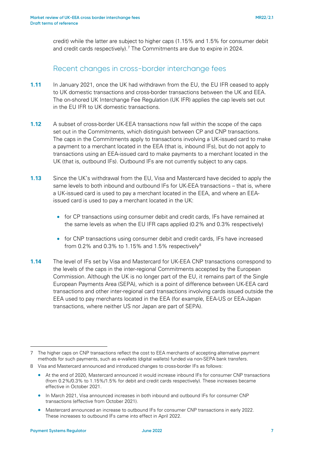credit) while the latter are subject to higher caps (1.15% and 1.5% for consumer debit and credit cards respectively).<sup>[7](#page-6-0)</sup> The Commitments are due to expire in 2024.

#### Recent changes in cross-border interchange fees

- **1.11** In January 2021, once the UK had withdrawn from the EU, the EU IFR ceased to apply to UK domestic transactions and cross-border transactions between the UK and EEA. The on-shored UK Interchange Fee Regulation (UK IFR) applies the cap levels set out in the EU IFR to UK domestic transactions.
- **1.12** A subset of cross-border UK-EEA transactions now fall within the scope of the caps set out in the Commitments, which distinguish between CP and CNP transactions. The caps in the Commitments apply to transactions involving a UK-issued card to make a payment to a merchant located in the EEA (that is, inbound IFs), but do not apply to transactions using an EEA-issued card to make payments to a merchant located in the UK (that is, outbound IFs). Outbound IFs are not currently subject to any caps.
- **1.13** Since the UK's withdrawal from the EU, Visa and Mastercard have decided to apply the same levels to both inbound and outbound IFs for UK-EEA transactions – that is, where a UK-issued card is used to pay a merchant located in the EEA, and where an EEAissued card is used to pay a merchant located in the UK:
	- for CP transactions using consumer debit and credit cards, IFs have remained at the same levels as when the EU IFR caps applied (0.2% and 0.3% respectively)
	- for CNP transactions using consumer debit and credit cards, IFs have increased from 0.2% and 0.3% to 1.15% and 1.5% respectively<sup>[8](#page-6-1)</sup>
- **1.14** The level of IFs set by Visa and Mastercard for UK-EEA CNP transactions correspond to the levels of the caps in the inter-regional Commitments accepted by the European Commission. Although the UK is no longer part of the EU, it remains part of the Single European Payments Area (SEPA), which is a point of difference between UK-EEA card transactions and other inter-regional card transactions involving cards issued outside the EEA used to pay merchants located in the EEA (for example, EEA-US or EEA-Japan transactions, where neither US nor Japan are part of SEPA).

<span id="page-6-0"></span><sup>7</sup> The higher caps on CNP transactions reflect the cost to EEA merchants of accepting alternative payment methods for such payments, such as e-wallets (digital wallets) funded via non-SEPA bank transfers.

<span id="page-6-1"></span><sup>8</sup> Visa and Mastercard announced and introduced changes to cross-border IFs as follows:

<sup>•</sup> At the end of 2020, Mastercard announced it would increase inbound IFs for consumer CNP transactions (from 0.2%/0.3% to 1.15%/1.5% for debit and credit cards respectively). These increases became effective in October 2021.

<sup>•</sup> In March 2021, Visa announced increases in both inbound and outbound IFs for consumer CNP transactions (effective from October 2021).

<sup>•</sup> Mastercard announced an increase to outbound IFs for consumer CNP transactions in early 2022. These increases to outbound IFs came into effect in April 2022.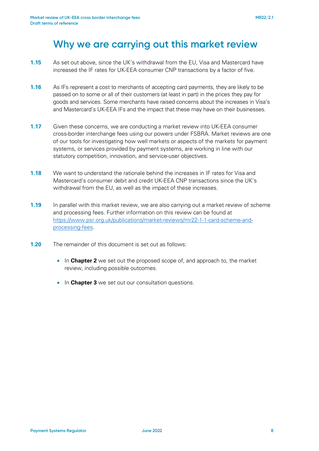## **Why we are carrying out this market review**

- **1.15** As set out above, since the UK's withdrawal from the EU, Visa and Mastercard have increased the IF rates for UK-EEA consumer CNP transactions by a factor of five.
- **1.16** As IFs represent a cost to merchants of accepting card payments, they are likely to be passed on to some or all of their customers (at least in part) in the prices they pay for goods and services. Some merchants have raised concerns about the increases in Visa's and Mastercard's UK-EEA IFs and the impact that these may have on their businesses.
- **1.17** Given these concerns, we are conducting a market review into UK-EEA consumer cross-border interchange fees using our powers under FSBRA. Market reviews are one of our tools for investigating how well markets or aspects of the markets for payment systems, or services provided by payment systems, are working in line with our statutory competition, innovation, and service-user objectives.
- **1.18** We want to understand the rationale behind the increases in IF rates for Visa and Mastercard's consumer debit and credit UK-EEA CNP transactions since the UK's withdrawal from the EU, as well as the impact of these increases.
- **1.19** In parallel with this market review, we are also carrying out a market review of scheme and processing fees. Further information on this review can be found at [https://www.psr.org.uk/publications/market-reviews/mr22-1-1-card-scheme-and](https://www.psr.org.uk/publications/market-reviews/mr22-1-1-card-scheme-and-processing-fees)[processing-fees.](https://www.psr.org.uk/publications/market-reviews/mr22-1-1-card-scheme-and-processing-fees)
- **1.20** The remainder of this document is set out as follows:
	- In **Chapter 2** we set out the proposed scope of, and approach to, the market review, including possible outcomes.
	- In **Chapter 3** we set out our consultation questions.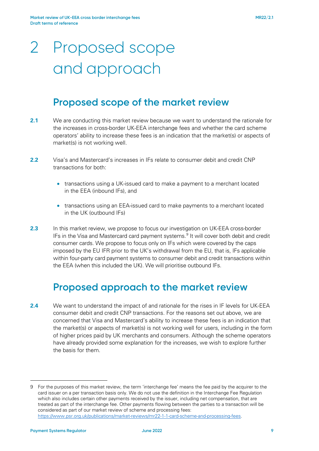# 2 Proposed scope and approach

## **Proposed scope of the market review**

- **2.1** We are conducting this market review because we want to understand the rationale for the increases in cross-border UK-EEA interchange fees and whether the card scheme operators' ability to increase these fees is an indication that the market(s) or aspects of market(s) is not working well.
- **2.2** Visa's and Mastercard's increases in IFs relate to consumer debit and credit CNP transactions for both:
	- transactions using a UK-issued card to make a payment to a merchant located in the EEA (inbound IFs), and
	- transactions using an EEA-issued card to make payments to a merchant located in the UK (outbound IFs)
- **2.3** In this market review, we propose to focus our investigation on UK-EEA cross-border IFs in the Visa and Mastercard card payment systems. [9](#page-8-0) It will cover both debit and credit consumer cards. We propose to focus only on IFs which were covered by the caps imposed by the EU IFR prior to the UK's withdrawal from the EU, that is, IFs applicable within four-party card payment systems to consumer debit and credit transactions within the EEA (when this included the UK). We will prioritise outbound IFs.

## **Proposed approach to the market review**

**2.4** We want to understand the impact of and rationale for the rises in IF levels for UK-EEA consumer debit and credit CNP transactions. For the reasons set out above, we are concerned that Visa and Mastercard's ability to increase these fees is an indication that the market(s) or aspects of market(s) is not working well for users, including in the form of higher prices paid by UK merchants and consumers. Although the scheme operators have already provided some explanation for the increases, we wish to explore further the basis for them.

<span id="page-8-0"></span><sup>9</sup> For the purposes of this market review, the term 'interchange fee' means the fee paid by the acquirer to the card issuer on a per transaction basis only. We do not use the definition in the Interchange Fee Regulation which also includes certain other payments received by the issuer, including net compensation, that are treated as part of the interchange fee. Other payments flowing between the parties to a transaction will be considered as part of our market review of scheme and processing fees: [https://www.psr.org.uk/publications/market-reviews/mr22-1-1-card-scheme-and-processing-fees.](https://www.psr.org.uk/publications/market-reviews/mr22-1-1-card-scheme-and-processing-fees)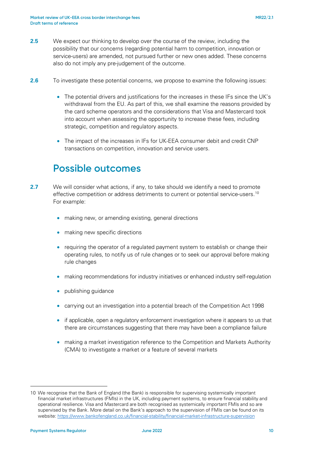- **2.5** We expect our thinking to develop over the course of the review, including the possibility that our concerns (regarding potential harm to competition, innovation or service-users) are amended, not pursued further or new ones added. These concerns also do not imply any pre-judgement of the outcome.
- **2.6** To investigate these potential concerns, we propose to examine the following issues:
	- The potential drivers and justifications for the increases in these IFs since the UK's withdrawal from the EU. As part of this, we shall examine the reasons provided by the card scheme operators and the considerations that Visa and Mastercard took into account when assessing the opportunity to increase these fees, including strategic, competition and regulatory aspects.
	- The impact of the increases in IFs for UK-EEA consumer debit and credit CNP transactions on competition, innovation and service users.

## **Possible outcomes**

- **2.7** We will consider what actions, if any, to take should we identify a need to promote effective competition or address detriments to current or potential service-users.<sup>[10](#page-9-0)</sup> For example:
	- making new, or amending existing, general directions
	- making new specific directions
	- requiring the operator of a regulated payment system to establish or change their operating rules, to notify us of rule changes or to seek our approval before making rule changes
	- making recommendations for industry initiatives or enhanced industry self-regulation
	- publishing guidance
	- carrying out an investigation into a potential breach of the Competition Act 1998
	- if applicable, open a regulatory enforcement investigation where it appears to us that there are circumstances suggesting that there may have been a compliance failure
	- making a market investigation reference to the Competition and Markets Authority (CMA) to investigate a market or a feature of several markets

<span id="page-9-0"></span><sup>10</sup> We recognise that the Bank of England (the Bank) is responsible for supervising systemically important financial market infrastructures (FMIs) in the UK, including payment systems, to ensure financial stability and operational resilience. Visa and Mastercard are both recognised as systemically important FMIs and so are supervised by the Bank. More detail on the Bank's approach to the supervision of FMIs can be found on its website[: https://www.bankofengland.co.uk/financial-stability/financial-market-infrastructure-supervision](https://www.bankofengland.co.uk/financial-stability/financial-market-infrastructure-supervision)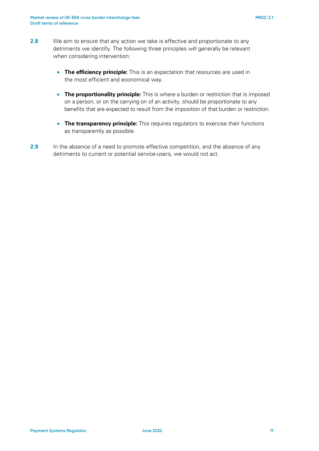- **2.8** We aim to ensure that any action we take is effective and proportionate to any detriments we identify. The following three principles will generally be relevant when considering intervention:
	- **The efficiency principle:** This is an expectation that resources are used in the most efficient and economical way.
	- **The proportionality principle:** This is where a burden or restriction that is imposed on a person, or on the carrying on of an activity, should be proportionate to any benefits that are expected to result from the imposition of that burden or restriction.
	- **The transparency principle:** This requires regulators to exercise their functions as transparently as possible.
- **2.9** In the absence of a need to promote effective competition, and the absence of any detriments to current or potential service-users, we would not act.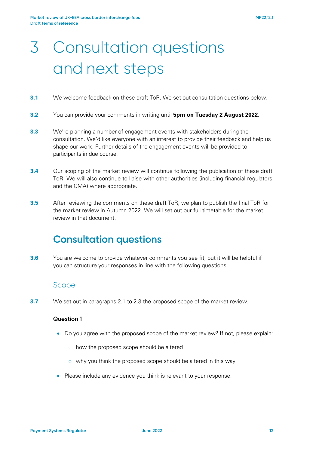# 3 Consultation questions and next steps

- **3.1** We welcome feedback on these draft ToR. We set out consultation questions below.
- **3.2** You can provide your comments in writing until **5pm on Tuesday 2 August 2022**.
- **3.3** We're planning a number of engagement events with stakeholders during the consultation. We'd like everyone with an interest to provide their feedback and help us shape our work. Further details of the engagement events will be provided to participants in due course.
- **3.4** Our scoping of the market review will continue following the publication of these draft ToR. We will also continue to liaise with other authorities (including financial regulators and the CMA) where appropriate.
- **3.5** After reviewing the comments on these draft ToR, we plan to publish the final ToR for the market review in Autumn 2022. We will set out our full timetable for the market review in that document.

## **Consultation questions**

**3.6** You are welcome to provide whatever comments you see fit, but it will be helpful if you can structure your responses in line with the following questions.

#### Scope

**3.7** We set out in paragraphs 2.1 to 2.3 the proposed scope of the market review.

#### **Question 1**

- Do you agree with the proposed scope of the market review? If not, please explain:
	- o how the proposed scope should be altered
	- o why you think the proposed scope should be altered in this way
- Please include any evidence you think is relevant to your response.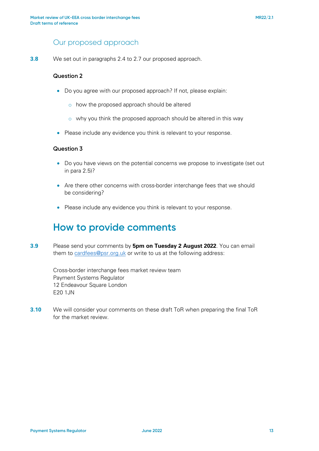### Our proposed approach

**3.8** We set out in paragraphs 2.4 to 2.7 our proposed approach.

#### **Question 2**

- Do you agree with our proposed approach? If not, please explain:
	- o how the proposed approach should be altered
	- o why you think the proposed approach should be altered in this way
- Please include any evidence you think is relevant to your response.

#### **Question 3**

- Do you have views on the potential concerns we propose to investigate (set out in para 2.5)?
- Are there other concerns with cross-border interchange fees that we should be considering?
- Please include any evidence you think is relevant to your response.

### **How to provide comments**

**3.9** Please send your comments by **5pm on Tuesday 2 August 2022**. You can email them to [cardfees@psr.o](mailto:cardfees@psr.org.uk)rg.uk or write to us at the following address:

> Cross-border interchange fees market review team Payment Systems Regulator 12 Endeavour Square London E20 1JN

**3.10** We will consider your comments on these draft ToR when preparing the final ToR for the market review.